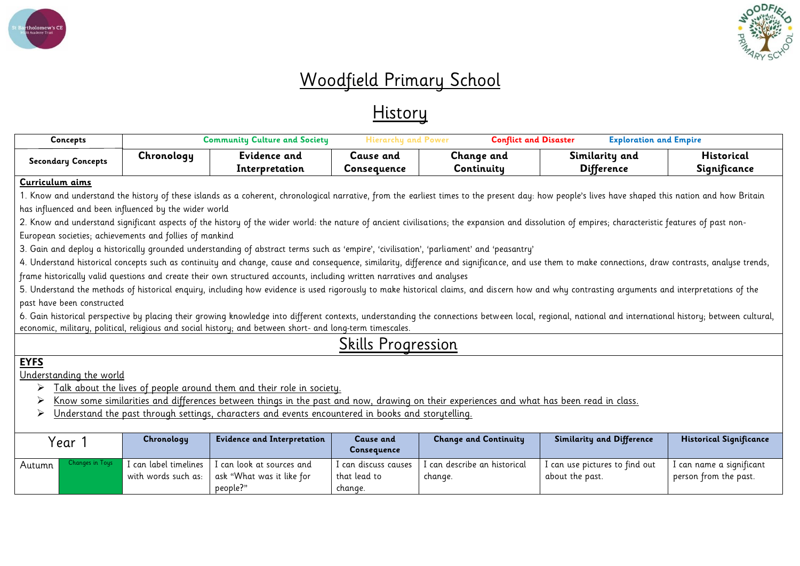



## Woodfield Primary School

## **History**

| <b>Concepts</b>                                         |                                                                                                                                                                                                    | <b>Community Culture and Society</b>                                                                                                      | <b>Hierarchy and Power</b> | <b>Conflict and Disaster</b> |                                                                                                                                                                                                    | <b>Exploration and Empire</b> |  |  |
|---------------------------------------------------------|----------------------------------------------------------------------------------------------------------------------------------------------------------------------------------------------------|-------------------------------------------------------------------------------------------------------------------------------------------|----------------------------|------------------------------|----------------------------------------------------------------------------------------------------------------------------------------------------------------------------------------------------|-------------------------------|--|--|
| <b>Secondary Concepts</b>                               | <b>Evidence and</b><br>Chronology                                                                                                                                                                  |                                                                                                                                           | <b>Cause</b> and           | Change and                   | Similarity and                                                                                                                                                                                     | <b>Historical</b>             |  |  |
|                                                         |                                                                                                                                                                                                    | Interpretation                                                                                                                            | Consequence                | Continuity                   | <b>Difference</b>                                                                                                                                                                                  | Significance                  |  |  |
| Curriculum aims                                         |                                                                                                                                                                                                    |                                                                                                                                           |                            |                              |                                                                                                                                                                                                    |                               |  |  |
|                                                         |                                                                                                                                                                                                    |                                                                                                                                           |                            |                              | l. Know and understand the history of these islands as a coherent, chronological narrative, from the earliest times to the present day: how people's lives have shaped this nation and how Britain |                               |  |  |
| has influenced and been influenced by the wider world   |                                                                                                                                                                                                    |                                                                                                                                           |                            |                              |                                                                                                                                                                                                    |                               |  |  |
|                                                         |                                                                                                                                                                                                    |                                                                                                                                           |                            |                              | 2. Know and understand significant aspects of the history of the wider world: the nature of ancient civilisations; the expansion and dissolution of empires; characteristic features of past non-  |                               |  |  |
| European societies; achievements and follies of mankind |                                                                                                                                                                                                    |                                                                                                                                           |                            |                              |                                                                                                                                                                                                    |                               |  |  |
|                                                         |                                                                                                                                                                                                    | 3. Gain and deploy a historically grounded understanding of abstract terms such as 'empire', 'civilisation', 'parliament' and 'peasantry' |                            |                              |                                                                                                                                                                                                    |                               |  |  |
|                                                         | 4. Understand historical concepts such as continuity and change, cause and consequence, similarity, difference and significance, and use them to make connections, draw contrasts, analyse trends, |                                                                                                                                           |                            |                              |                                                                                                                                                                                                    |                               |  |  |
|                                                         | frame historically valid questions and create their own structured accounts, including written narratives and analyses                                                                             |                                                                                                                                           |                            |                              |                                                                                                                                                                                                    |                               |  |  |
|                                                         |                                                                                                                                                                                                    |                                                                                                                                           |                            |                              | 5. Understand the methods of historical enquiry, including how evidence is used rigorously to make historical claims, and discern how and why contrasting arguments and interpretations of the     |                               |  |  |
| past have been constructed                              |                                                                                                                                                                                                    |                                                                                                                                           |                            |                              |                                                                                                                                                                                                    |                               |  |  |

6. Gain historical perspective by placing their growing knowledge into different contexts, understanding the connections between local, regional, national and international history; between cultural, economic, military, political, religious and social history; and between short- and long-term timescales.

## Skills Progression

## **EYFS**

Understanding the world

- ➢ Talk about the lives of people around them and their role in society.
- ➢ Know some similarities and differences between things in the past and now, drawing on their experiences and what has been read in class.
- ➢ Understand the past through settings, characters and events encountered in books and storytelling.

|        | 'ear            | Chronology               | Evidence and Interpretation                          | Cause and<br>Consequence | <b>Change and Continuity</b> | <b>Similarity and Difference</b> | <b>Historical Significance</b> |
|--------|-----------------|--------------------------|------------------------------------------------------|--------------------------|------------------------------|----------------------------------|--------------------------------|
| Autumn | Changes in Toys | I can label timelines  I | I can look at sources and                            | I can discuss causes     | I can describe an historical | I can use pictures to find out   | I can name a significant       |
|        |                 |                          | with words such as: $\mid$ ask "What was it like for | that lead to             | change.                      | about the past.                  | person from the past.          |
|        |                 |                          | people?"                                             | chanae.                  |                              |                                  |                                |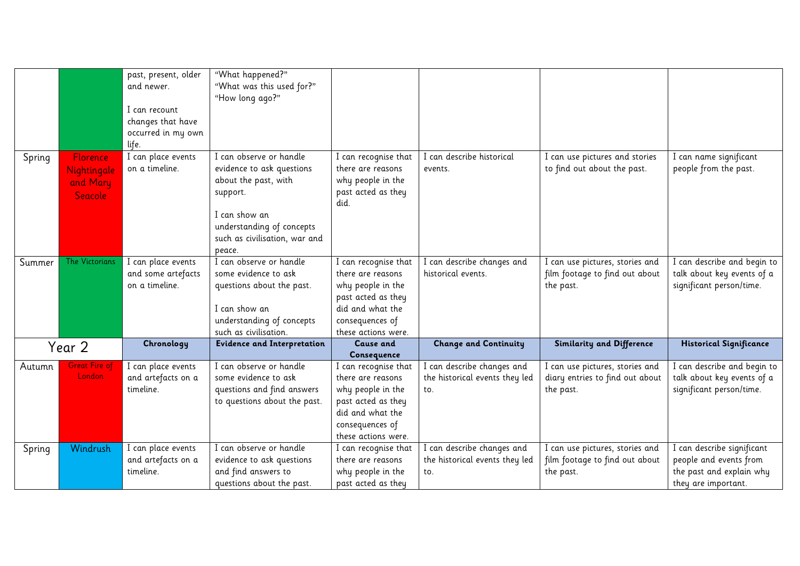|        |                                                       | past, present, older<br>and newer.<br>I can recount<br>changes that have<br>occurred in my own<br>life. | "What happened?"<br>"What was this used for?"<br>"How long ago?"                                                                                                                  |                                                                                                                                                    |                                                                     |                                                                                 |                                                                                                         |
|--------|-------------------------------------------------------|---------------------------------------------------------------------------------------------------------|-----------------------------------------------------------------------------------------------------------------------------------------------------------------------------------|----------------------------------------------------------------------------------------------------------------------------------------------------|---------------------------------------------------------------------|---------------------------------------------------------------------------------|---------------------------------------------------------------------------------------------------------|
| Spring | <b>Florence</b><br>Nightingale<br>and Mary<br>Seacole | I can place events<br>on a timeline.                                                                    | I can observe or handle<br>evidence to ask questions<br>about the past, with<br>support.<br>I can show an<br>understanding of concepts<br>such as civilisation, war and<br>peace. | I can recognise that<br>there are reasons<br>why people in the<br>past acted as they<br>did.                                                       | I can describe historical<br>events.                                | I can use pictures and stories<br>to find out about the past.                   | I can name significant<br>people from the past.                                                         |
| Summer | The Victorians                                        | I can place events<br>and some artefacts<br>on a timeline.                                              | I can observe or handle<br>some evidence to ask<br>questions about the past.<br>I can show an<br>understanding of concepts<br>such as civilisation.                               | I can recognise that<br>there are reasons<br>why people in the<br>past acted as they<br>did and what the<br>consequences of<br>these actions were. | I can describe changes and<br>historical events.                    | I can use pictures, stories and<br>film footage to find out about<br>the past.  | $\overline{I}$ can describe and begin to<br>talk about key events of a<br>significant person/time.      |
|        | Year 2                                                | Chronology                                                                                              | Evidence and Interpretation                                                                                                                                                       | <b>Cause and</b><br>Consequence                                                                                                                    | <b>Change and Continuity</b>                                        | Similarity and Difference                                                       | <b>Historical Significance</b>                                                                          |
| Autumn | <b>Great Fire of</b><br>London                        | I can place events<br>and artefacts on a<br>timeline.                                                   | I can observe or handle<br>some evidence to ask<br>questions and find answers<br>to questions about the past.                                                                     | I can recognise that<br>there are reasons<br>why people in the<br>past acted as they<br>did and what the<br>consequences of<br>these actions were. | I can describe changes and<br>the historical events they led<br>to. | I can use pictures, stories and<br>diary entries to find out about<br>the past. | I can describe and begin to<br>talk about key events of a<br>significant person/time.                   |
| Spring | Windrush                                              | I can place events<br>and artefacts on a<br>timeline.                                                   | I can observe or handle<br>evidence to ask questions<br>and find answers to<br>questions about the past.                                                                          | I can recognise that<br>there are reasons<br>why people in the<br>past acted as they                                                               | I can describe changes and<br>the historical events they led<br>to. | I can use pictures, stories and<br>film footage to find out about<br>the past.  | I can describe significant<br>people and events from<br>the past and explain why<br>they are important. |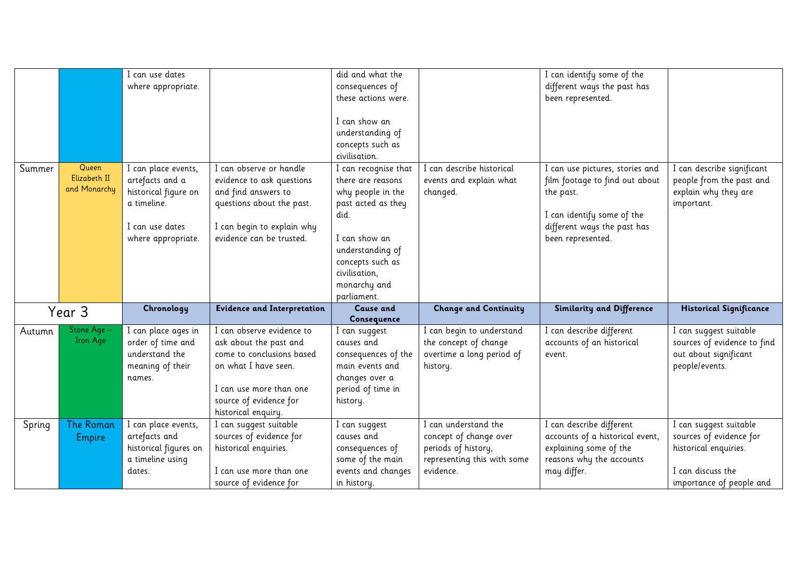|        |                 | can use dates         |                                    | did and what the            |                              | I can identify some of the      |                                |
|--------|-----------------|-----------------------|------------------------------------|-----------------------------|------------------------------|---------------------------------|--------------------------------|
|        |                 | where appropriate.    |                                    | consequences of             |                              | different ways the past has     |                                |
|        |                 |                       |                                    | these actions were.         |                              | been represented.               |                                |
|        |                 |                       |                                    |                             |                              |                                 |                                |
|        |                 |                       |                                    | I can show an               |                              |                                 |                                |
|        |                 |                       |                                    | understanding of            |                              |                                 |                                |
|        |                 |                       |                                    | concepts such as            |                              |                                 |                                |
|        |                 |                       |                                    | civilisation.               |                              |                                 |                                |
| Summer | Queen           | I can place events,   | I can observe or handle            | I can recognise that        | I can describe historical    | I can use pictures, stories and | can describe significant       |
|        | Elizabeth II    | artefacts and a       | evidence to ask questions          | there are reasons           | events and explain what      | film footage to find out about  | people from the past and       |
|        | and Monarchy    | historical figure on  | and find answers to                | why people in the           | changed.                     | the past.                       | explain why they are           |
|        |                 | a timeline.           | questions about the past.          | past acted as they          |                              |                                 | important.                     |
|        |                 |                       |                                    | did.                        |                              | I can identify some of the      |                                |
|        |                 | I can use dates       | I can begin to explain why         |                             |                              | different ways the past has     |                                |
|        |                 | where appropriate.    | evidence can be trusted.           | I can show an               |                              | been represented.               |                                |
|        |                 |                       |                                    | understanding of            |                              |                                 |                                |
|        |                 |                       |                                    | concepts such as            |                              |                                 |                                |
|        |                 |                       |                                    | civilisation,               |                              |                                 |                                |
|        |                 |                       |                                    |                             |                              |                                 |                                |
|        |                 |                       |                                    |                             |                              |                                 |                                |
|        |                 |                       |                                    | monarchy and<br>parliament. |                              |                                 |                                |
|        |                 | Chronology            | <b>Evidence and Interpretation</b> | <b>Cause and</b>            | <b>Change and Continuity</b> | Similarity and Difference       | <b>Historical Significance</b> |
|        | Year 3          |                       |                                    | Consequence                 |                              |                                 |                                |
| Autumn | Stone Age -     | I can place ages in   | I can observe evidence to          | I can suggest               | I can begin to understand    | I can describe different        | can suggest suitable           |
|        | <b>Iron Age</b> | order of time and     | ask about the past and             | causes and                  | the concept of change        | accounts of an historical       | sources of evidence to find    |
|        |                 | understand the        | come to conclusions based          | consequences of the         | overtime a long period of    | event.                          | out about significant          |
|        |                 | meaning of their      | on what I have seen.               | main events and             | history.                     |                                 | people/events.                 |
|        |                 | names.                |                                    | changes over a              |                              |                                 |                                |
|        |                 |                       | I can use more than one            | period of time in           |                              |                                 |                                |
|        |                 |                       | source of evidence for             | history.                    |                              |                                 |                                |
|        |                 |                       | historical enquiry.                |                             |                              |                                 |                                |
| Spring | The Roman       | I can place events,   | I can suggest suitable             | I can suggest               | I can understand the         | I can describe different        | I can suggest suitable         |
|        | <b>Empire</b>   | artefacts and         | sources of evidence for            | causes and                  | concept of change over       | accounts of a historical event, | sources of evidence for        |
|        |                 | historical figures on | historical enquiries.              | consequences of             | periods of history,          | explaining some of the          | historical enquiries.          |
|        |                 | a timeline using      |                                    | some of the main            | representing this with some  | reasons why the accounts        |                                |
|        |                 | dates.                | I can use more than one            | events and changes          | evidence.                    | may differ.                     | I can discuss the              |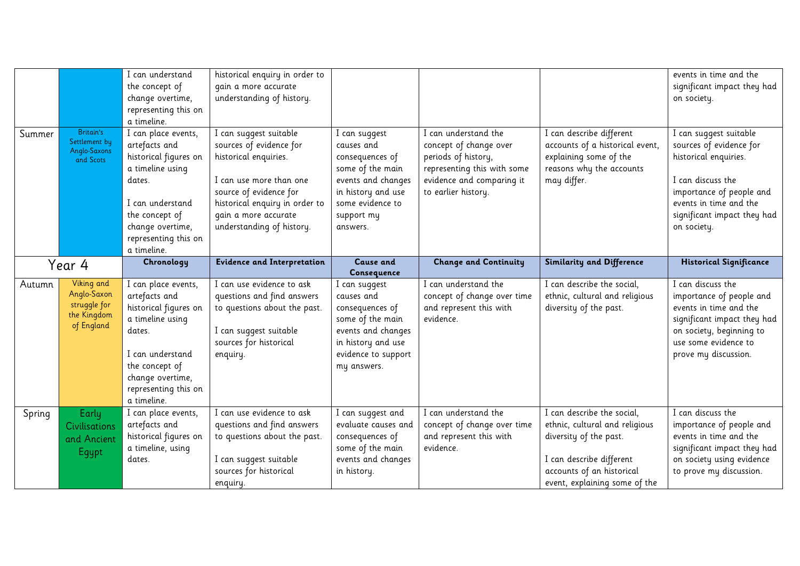|        |                                                                        | I can understand<br>the concept of<br>change overtime,<br>representing this on<br>a timeline.                                                                                                | historical enquiry in order to<br>gain a more accurate<br>understanding of history.                                                                                                                                    |                                                                                                                                                              |                                                                                                                                                          |                                                                                                                                  | events in time and the<br>significant impact they had<br>on society.                                                                                                                                |
|--------|------------------------------------------------------------------------|----------------------------------------------------------------------------------------------------------------------------------------------------------------------------------------------|------------------------------------------------------------------------------------------------------------------------------------------------------------------------------------------------------------------------|--------------------------------------------------------------------------------------------------------------------------------------------------------------|----------------------------------------------------------------------------------------------------------------------------------------------------------|----------------------------------------------------------------------------------------------------------------------------------|-----------------------------------------------------------------------------------------------------------------------------------------------------------------------------------------------------|
| Summer | Britain's<br>Settlement by<br>Anglo-Saxons<br>and Scots                | I can place events,<br>artefacts and<br>historical figures on<br>a timeline using<br>dates.<br>I can understand<br>the concept of<br>change overtime,<br>representing this on<br>a timeline. | I can suggest suitable<br>sources of evidence for<br>historical enquiries.<br>I can use more than one<br>source of evidence for<br>historical enquiry in order to<br>gain a more accurate<br>understanding of history. | I can suggest<br>causes and<br>consequences of<br>some of the main<br>events and changes<br>in history and use<br>some evidence to<br>support my<br>answers. | I can understand the<br>concept of change over<br>periods of history,<br>representing this with some<br>evidence and comparing it<br>to earlier history. | I can describe different<br>accounts of a historical event,<br>explaining some of the<br>reasons why the accounts<br>may differ. | I can suggest suitable<br>sources of evidence for<br>historical enquiries.<br>I can discuss the<br>importance of people and<br>events in time and the<br>significant impact they had<br>on society. |
|        | Year 4                                                                 | Chronology                                                                                                                                                                                   | <b>Evidence and Interpretation</b>                                                                                                                                                                                     | <b>Cause and</b><br>Consequence                                                                                                                              | <b>Change and Continuity</b>                                                                                                                             | Similarity and Difference                                                                                                        | <b>Historical Significance</b>                                                                                                                                                                      |
| Autumn | Viking and<br>Anglo-Saxon<br>struggle for<br>the Kingdom<br>of England | I can place events,<br>artefacts and<br>historical figures on<br>a timeline using<br>dates.<br>I can understand<br>the concept of<br>change overtime,                                        | I can use evidence to ask<br>questions and find answers<br>to questions about the past.<br>I can suggest suitable<br>sources for historical<br>enquiry.                                                                | l can suggest<br>causes and<br>consequences of<br>some of the main<br>events and changes<br>in history and use<br>evidence to support<br>my answers.         | I can understand the<br>concept of change over time<br>and represent this with<br>evidence.                                                              | I can describe the social,<br>ethnic, cultural and religious<br>diversity of the past.                                           | I can discuss the<br>importance of people and<br>events in time and the<br>significant impact they had<br>on society, beginning to<br>use some evidence to<br>prove my discussion.                  |
|        |                                                                        | representing this on<br>a timeline.                                                                                                                                                          |                                                                                                                                                                                                                        |                                                                                                                                                              |                                                                                                                                                          |                                                                                                                                  |                                                                                                                                                                                                     |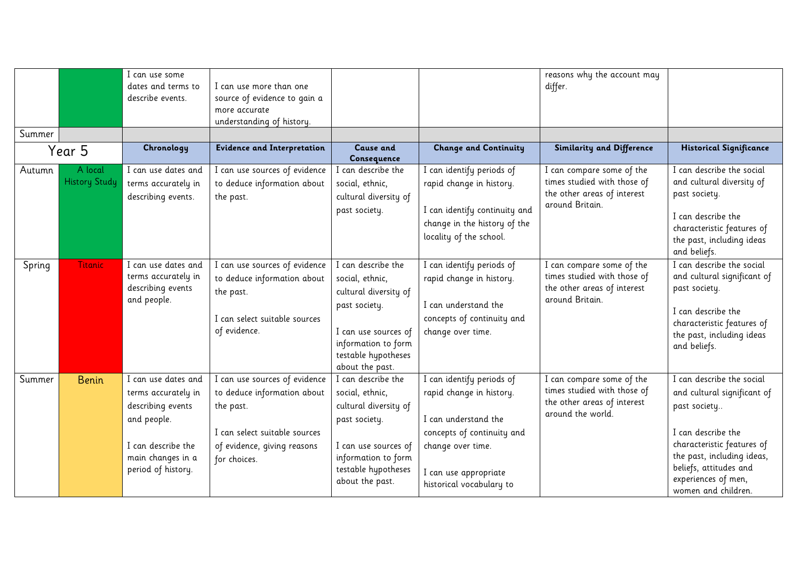| Summer | Year 5                          | I can use some<br>dates and terms to<br>describe events.<br>Chronology                                                                          | I can use more than one<br>source of evidence to gain a<br>more accurate<br>understanding of history.<br>Evidence and Interpretation                      | <b>Cause and</b><br>Consequence                                                                                                                                          | <b>Change and Continuity</b>                                                                                                                                                          | reasons why the account may<br>differ.<br>Similarity and Difference                                          | <b>Historical Significance</b>                                                                                                                                                                                                     |
|--------|---------------------------------|-------------------------------------------------------------------------------------------------------------------------------------------------|-----------------------------------------------------------------------------------------------------------------------------------------------------------|--------------------------------------------------------------------------------------------------------------------------------------------------------------------------|---------------------------------------------------------------------------------------------------------------------------------------------------------------------------------------|--------------------------------------------------------------------------------------------------------------|------------------------------------------------------------------------------------------------------------------------------------------------------------------------------------------------------------------------------------|
| Autumn | A local<br><b>History Study</b> | I can use dates and<br>terms accurately in<br>describing events.                                                                                | I can use sources of evidence<br>to deduce information about<br>the past.                                                                                 | I can describe the<br>social, ethnic,<br>cultural diversity of<br>past society.                                                                                          | I can identify periods of<br>rapid change in history.<br>I can identify continuity and<br>change in the history of the<br>locality of the school.                                     | I can compare some of the<br>times studied with those of<br>the other areas of interest<br>around Britain.   | I can describe the social<br>and cultural diversity of<br>past society.<br>I can describe the<br>characteristic features of<br>the past, including ideas<br>and beliefs.                                                           |
| Spring | <b>Titanic</b>                  | I can use dates and<br>terms accurately in<br>describing events<br>and people.                                                                  | I can use sources of evidence<br>to deduce information about<br>the past.<br>I can select suitable sources<br>of evidence.                                | I can describe the<br>social, ethnic,<br>cultural diversity of<br>past society.<br>I can use sources of<br>information to form<br>testable hypotheses<br>about the past. | I can identify periods of<br>rapid change in history.<br>I can understand the<br>concepts of continuity and<br>change over time.                                                      | I can compare some of the<br>times studied with those of<br>the other areas of interest<br>around Britain.   | I can describe the social<br>and cultural significant of<br>past society.<br>I can describe the<br>characteristic features of<br>the past, including ideas<br>and beliefs.                                                         |
| Summer | <b>Benin</b>                    | I can use dates and<br>terms accurately in<br>describing events<br>and people.<br>I can describe the<br>main changes in a<br>period of history. | I can use sources of evidence<br>to deduce information about<br>the past.<br>I can select suitable sources<br>of evidence, giving reasons<br>for choices. | I can describe the<br>social, ethnic,<br>cultural diversity of<br>past society.<br>I can use sources of<br>information to form<br>testable hypotheses<br>about the past. | I can identify periods of<br>rapid change in history.<br>I can understand the<br>concepts of continuity and<br>change over time.<br>I can use appropriate<br>historical vocabulary to | I can compare some of the<br>times studied with those of<br>the other areas of interest<br>around the world. | I can describe the social<br>and cultural significant of<br>past society<br>I can describe the<br>characteristic features of<br>the past, including ideas,<br>beliefs, attitudes and<br>experiences of men,<br>women and children. |